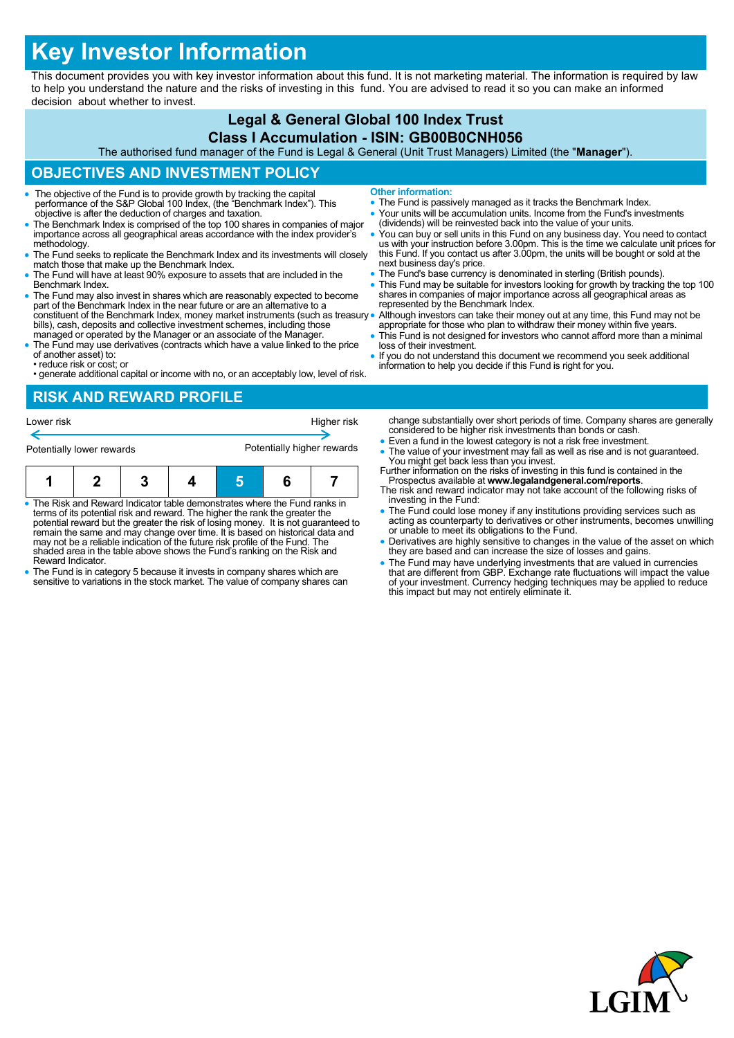# **Key Investor Information**

This document provides you with key investor information about this fund. It is not marketing material. The information is required by law to help you understand the nature and the risks of investing in this fund. You are advised to read it so you can make an informed decision about whether to invest.

#### **Legal & General Global 100 Index Trust Class I Accumulation - ISIN: GB00B0CNH056**

The authorised fund manager of the Fund is Legal & General (Unit Trust Managers) Limited (the "**Manager**").

## **OBJECTIVES AND INVESTMENT POLICY**

- The objective of the Fund is to provide growth by tracking the capital performance of the S&P Global 100 Index, (the "Benchmark Index"). This objective is after the deduction of charges and taxation.
- The Benchmark Index is comprised of the top 100 shares in companies of major importance across all geographical areas accordance with the index provider's methodology.
- The Fund seeks to replicate the Benchmark Index and its investments will closely match those that make up the Benchmark Index.
- The Fund will have at least 90% exposure to assets that are included in the Benchmark Index.
- The Fund may also invest in shares which are reasonably expected to become part of the Benchmark Index in the near future or are an alternative to a constituent of the Benchmark Index, money market instruments (such as treasury . bills), cash, deposits and collective investment schemes, including those managed or operated by the Manager or an associate of the Manager.
- The Fund may use derivatives (contracts which have a value linked to the price of another asset) to: • reduce risk or cost; or
- generate additional capital or income with no, or an acceptably low, level of risk.

# **Other information:**

- The Fund is passively managed as it tracks the Benchmark Index.
- Your units will be accumulation units. Income from the Fund's investments (dividends) will be reinvested back into the value of your units.
- You can buy or sell units in this Fund on any business day. You need to contact us with your instruction before 3.00pm. This is the time we calculate unit prices for this Fund. If you contact us after 3.00pm, the units will be bought or sold at the next business day's price.
- The Fund's base currency is denominated in sterling (British pounds).
- This Fund may be suitable for investors looking for growth by tracking the top 100 shares in companies of major importance across all geographical areas as represented by the Benchmark Index.
- Although investors can take their money out at any time, this Fund may not be appropriate for those who plan to withdraw their money within five years.
- This Fund is not designed for investors who cannot afford more than a minimal loss of their investment.
- If you do not understand this document we recommend you seek additional information to help you decide if this Fund is right for you.

#### **RISK AND REWARD PROFILE**

| Lower risk<br>Potentially lower rewards                                    |                                                                             |                                                   | Higher risk<br>Potentially higher rewards |  | change substantially ove<br>considered to be higher<br>$\bullet$ Even a fund in the lowe<br>• The value of your invest<br>You might get back less |
|----------------------------------------------------------------------------|-----------------------------------------------------------------------------|---------------------------------------------------|-------------------------------------------|--|---------------------------------------------------------------------------------------------------------------------------------------------------|
|                                                                            |                                                                             |                                                   |                                           |  | Further information on the<br>Prospectus available at<br>The risk and reward indic                                                                |
| • The Risk and Reward Indicator table demonstrates where the Fund ranks in | terms of its potential risk and reward. The higher the rank the greater the | investing in the Fund:<br>• The Fund could lose m |                                           |  |                                                                                                                                                   |

- terms of its potential risk and reward. The higher the rank the greater the potential reward but the greater the risk of losing money. It is not guaranteed to remain the same and may change over time. It is based on historical data and may not be a reliable indication of the future risk profile of the Fund. The shaded area in the table above shows the Fund's ranking on the Risk and Reward Indicator.
- The Fund is in category 5 because it invests in company shares which are sensitive to variations in the stock market. The value of company shares can
- er short periods of time. Company shares are generally risk investments than bonds or cash.
- st category is not a risk free investment.
- tment may fall as well as rise and is not guaranteed. s than vou invest.
- Further you interest. www.legalandgeneral.com/reports. ator may not take account of the following risks of
- oney if any institutions providing services such as acting as counterparty to derivatives or other instruments, becomes unwilling or unable to meet its obligations to the Fund.
- Derivatives are highly sensitive to changes in the value of the asset on which they are based and can increase the size of losses and gains.
- The Fund may have underlying investments that are valued in currencies<br>that are different from GBP. Exchange rate fluctuations will impact the value<br>of your investment. Currency hedging techniques may be applied to reduc